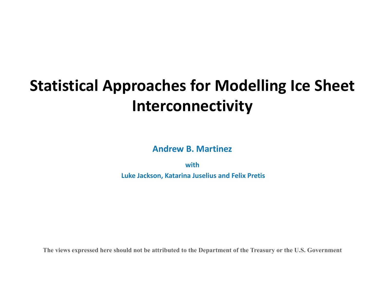## <span id="page-0-0"></span>**Statistical Approaches for Modelling Ice Sheet Interconnectivity**

**Andrew B. Martinez**

**with Luke Jackson, Katarina Juselius and Felix Pretis**

**The views expressed here should not be attributed to the Department of the Treasury or the U.S. Government**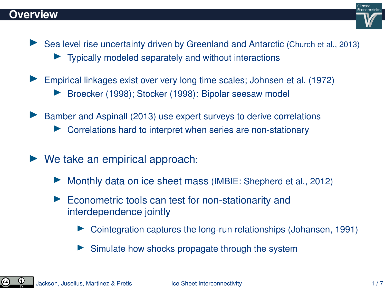

- In Sea level rise uncertainty driven by Greenland and Antarctic [\(Church et al., 2013\)](#page-13-0)
	- Typically modeled separately and without interactions
- Empirical linkages exist over very long time scales; [Johnsen et al. \(1972\)](#page-13-1)
	- [Broecker \(1998\)](#page-13-2); [Stocker \(1998\)](#page-13-3): Bipolar seesaw model
- $\blacktriangleright$  [Bamber and Aspinall \(2013\)](#page-13-4) use expert surveys to derive correlations
	- Correlations hard to interpret when series are non-stationary
- $\triangleright$  We take an empirical approach:
	- Monthly data on ice sheet mass (IMBIE: [Shepherd et al., 2012\)](#page-13-5)
	- $\blacktriangleright$  Econometric tools can test for non-stationarity and interdependence jointly
		- $\triangleright$  Cointegration captures the long-run relationships [\(Johansen, 1991\)](#page-13-6)
		- $\triangleright$  Simulate how shocks propagate through the system

©.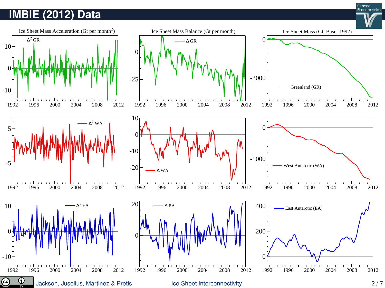#### **IMBIE (2012) Data**



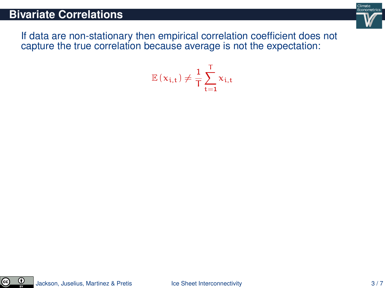#### **Bivariate Correlations**



If data are non-stationary then empirical correlation coefficient does not capture the true correlation because average is not the expectation:

$$
\mathbb{E}\left(x_{i,t}\right) \neq \frac{1}{T} \sum_{t=1}^{T} x_{i,t}
$$

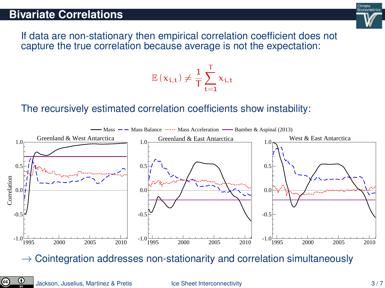#### **Bivariate Correlations**

Climate Econometrics

If data are non-stationary then empirical correlation coefficient does not capture the true correlation because average is not the expectation:

#### $\mathbb{E}\left(\boldsymbol{\mathrm{x}}_{\mathfrak{i},\mathfrak{t}}\right) \neq \frac{1}{\mathsf{T}}$ T  $\frac{1}{\nabla}$  $t=1$  $x_{i,t}$

#### The recursively estimated correlation coefficients show instability:



 $\rightarrow$  Cointegration addresses non-stationarity and correlation simultaneously

၉၁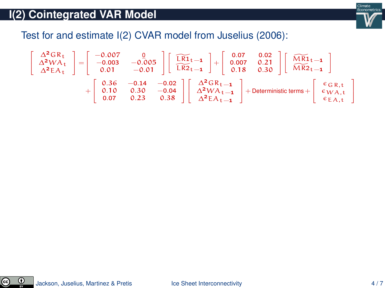

Test for and estimate I(2) CVAR model from [Juselius \(2006\)](#page-13-7):

$$
\left[\begin{array}{c} \Delta^2GR_t \\ \Delta^2WA_t \\ \Delta^2EA_t \end{array}\right] = \left[\begin{array}{ccc} -0.007 & 0 \\ -0.003 & -0.005 \\ 0.01 & -0.01 \end{array}\right] \left[\begin{array}{c} \widetilde{LR1}_{t-1} \\ \widetilde{LR2}_{t-1} \end{array}\right] + \left[\begin{array}{ccc} 0.07 & 0.02 \\ 0.007 & 0.21 \\ 0.18 & 0.30 \end{array}\right] \left[\begin{array}{c} \widetilde{MR1}_{t-1} \\ \widetilde{MR2}_{t-1} \end{array}\right] \\ + \left[\begin{array}{ccc} 0.36 & -0.14 & -0.02 \\ 0.10 & 0.30 & -0.04 \\ 0.07 & 0.23 & 0.38 \end{array}\right] \left[\begin{array}{c} \Delta^2GR_{t-1} \\ \Delta^2WA_{t-1} \\ \Delta^2EA_{t-1} \end{array}\right] + Deterministic \hspace{0.05cm} \textit{terms} + \left[\begin{array}{c} \varepsilon_{GR,t} \\ \varepsilon_{WA,t} \\ \varepsilon_{EA,t} \end{array}\right]
$$

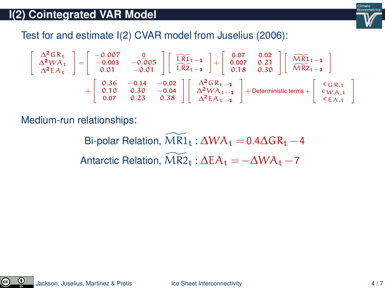

Test for and estimate I(2) CVAR model from [Juselius \(2006\)](#page-13-7):

$$
\left[\begin{array}{c} \Delta^2GR_t \\ \Delta^2WA_t \\ \Delta^2EA_t \end{array}\right] = \left[\begin{array}{ccc} -0.007 & 0 \\ -0.003 & -0.005 \\ 0.01 & -0.01 \end{array}\right] \left[\begin{array}{c} \widetilde{LR1}_{t-1} \\ \widetilde{LR2}_{t-1} \end{array}\right] + \left[\begin{array}{ccc} 0.07 & 0.02 \\ 0.007 & 0.21 \\ 0.18 & 0.30 \end{array}\right] \left[\begin{array}{c} \widetilde{MR1}_{t-1} \\ \widetilde{MR2}_{t-1} \end{array}\right] \\ + \left[\begin{array}{ccc} 0.36 & -0.14 & -0.02 \\ 0.10 & 0.30 & -0.04 \\ 0.07 & 0.23 & 0.38 \end{array}\right] \left[\begin{array}{c} \Delta^2GR_{t-1} \\ \Delta^2WA_{t-1} \\ \Delta^2EA_{t-1} \end{array}\right] + Deterministic \hspace{0.05cm} \textit{terms} + \left[\begin{array}{c} \varepsilon_{GR,t} \\ \varepsilon_{WA,t} \\ \varepsilon_{EA,t} \end{array}\right]
$$

Medium-run relationships:

Bi-polar Relation,  $\widehat{MR1}_t : \Delta WA_t = 0.4\Delta GR_t - 4$ Antarctic Relation,  $\overline{MR2}_{t}$  :  $\Delta EA_{t} = -\Delta WA_{t} - 7$ 

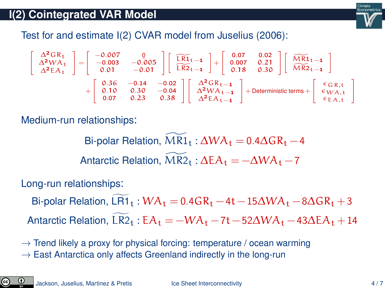

Test for and estimate I(2) CVAR model from [Juselius \(2006\)](#page-13-7):

$$
\left[\begin{array}{c} \Delta^2GR_t \\ \Delta^2WA_t \\ \Delta^2EA_t \end{array}\right] = \left[\begin{array}{ccc} -0.007 & 0 \\ -0.003 & -0.005 \\ 0.01 & -0.01 \end{array}\right] \left[\begin{array}{c} \widetilde{LR1}_{t-1} \\ \widetilde{LR2}_{t-1} \end{array}\right] + \left[\begin{array}{ccc} 0.07 & 0.02 \\ 0.007 & 0.21 \\ 0.18 & 0.30 \end{array}\right] \left[\begin{array}{c} \widetilde{MR1}_{t-1} \\ \widetilde{MR2}_{t-1} \end{array}\right] \\ + \left[\begin{array}{ccc} 0.36 & -0.14 & -0.02 \\ 0.10 & 0.30 & -0.04 \\ 0.07 & 0.23 & 0.38 \end{array}\right] \left[\begin{array}{c} \Delta^2GR_{t-1} \\ \Delta^2WA_{t-1} \\ \Delta^2EA_{t-1} \end{array}\right] + Deterministic \hspace{0.05cm} \textit{terms} + \left[\begin{array}{c} \varepsilon_{GR,t} \\ \varepsilon_{WA,t} \\ \varepsilon_{EA,t} \end{array}\right]
$$

Medium-run relationships:

Bi-polar Relation,  $MR1_t : \Delta WA_t = 0.4\Delta GR_t - 4$ Antarctic Relation,  $\overline{MR2}_t : \Delta E A_t = -\Delta W A_t - 7$ 

Long-run relationships:

Bi-polar Relation, LR1  $_t$  : WA<sub>t</sub> = 0.4GR<sub>t</sub> −4t − 15 $\Delta$ WA<sub>t</sub> − 8 $\Delta$ GR<sub>t</sub> + 3 Antarctic Relation, LR2<sub>t</sub> : EA<sub>t</sub> =  $-WA_t - 7t - 52\Delta WA_t - 43\Delta EA_t + 14$ 

 $\rightarrow$  Trend likely a proxy for physical forcing: temperature / ocean warming

 $\rightarrow$  East Antarctica only affects Greenland indirectly in the long-run

 $_{\rm (cc)}$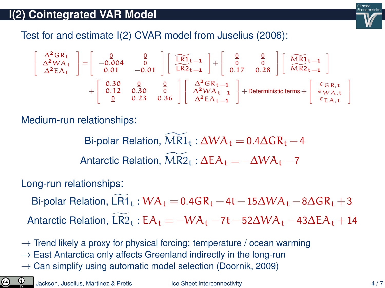

Test for and estimate I(2) CVAR model from [Juselius \(2006\)](#page-13-7):

$$
\left[\begin{array}{c} \Delta^2GR_t \\ \Delta^2WA_t \\ \Delta^2EA_t \end{array}\right] = \left[\begin{array}{rrr} 0 & 0 & 0 \\ -0.004 & 0 & 0 \\ 0.01 & -0.01 & 0 \end{array}\right] \left[\begin{array}{c} \widetilde{LR1}_{t-1} \\ \widetilde{LR2}_{t-1} \end{array}\right] + \left[\begin{array}{cc} 0 & 0 \\ 0.17 & 0.28 \\ 0.17 & 0.28 \end{array}\right] \left[\begin{array}{c} \widetilde{MR1}_{t-1} \\ \widetilde{MR2}_{t-1} \end{array}\right] \\ + \left[\begin{array}{rrr} 0.30 & 0 & 0 \\ 0.12 & 0.30 & 0 \\ 0 & 0.23 & 0.36 \end{array}\right] \left[\begin{array}{c} \Delta^2GR_{t-1} \\ \Delta^2WA_{t-1} \\ \Delta^2EA_{t-1} \end{array}\right] + Deterministic terms + \left[\begin{array}{c} \varepsilon_{GR,t} \\ \varepsilon_{WA,t} \\ \varepsilon_{EA,t} \end{array}\right]
$$

Medium-run relationships:

Bi-polar Relation,  $MR1_t : \Delta WA_t = 0.4\Delta GR_t - 4$ Antarctic Relation,  $\overline{MR2}_{t}$  :  $\Delta EA_{t} = -\Delta WA_{t} - 7$ 

Long-run relationships:

Bi-polar Relation, LR1  $_t$  : WA<sub>t</sub> = 0.4GR<sub>t</sub> −4t − 15 $\Delta$ WA<sub>t</sub> − 8 $\Delta$ GR<sub>t</sub> + 3 Antarctic Relation, LR2<sub>t</sub> : EA<sub>t</sub> =  $-WA_t - 7t - 52\Delta WA_t - 43\Delta EA_t + 14$ 

- $\rightarrow$  Trend likely a proxy for physical forcing: temperature / ocean warming
- $\rightarrow$  East Antarctica only affects Greenland indirectly in the long-run
- $\rightarrow$  Can simplify using automatic model selection [\(Doornik, 2009\)](#page-13-8)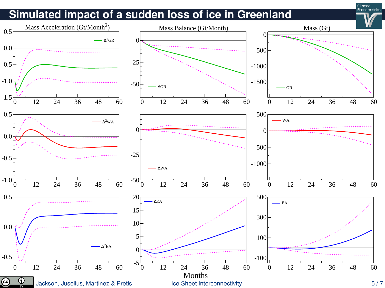### **Simulated impact of a sudden loss of ice in Greenland**



Climate Econometrics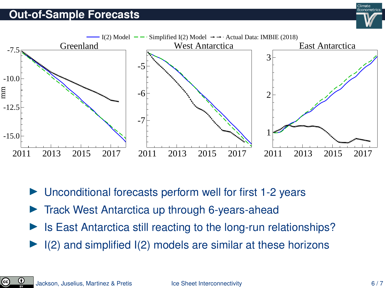#### **Out-of-Sample Forecasts**



Unconditional forecasts perform well for first 1-2 years

- $\triangleright$  Track West Antarctica up through 6-years-ahead
- Is East Antarctica still reacting to the long-run relationships?
- $\blacktriangleright$  I(2) and simplified I(2) models are similar at these horizons

ල)

Climate Econometrics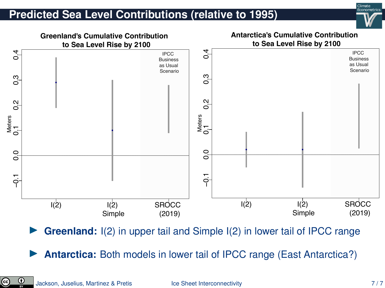#### **Predicted Sea Level Contributions (relative to 1995)**





**Greenland:** I(2) in upper tail and Simple I(2) in lower tail of IPCC range

**Antarctica:** Both models in lower tail of IPCC range (East Antarctica?)

©.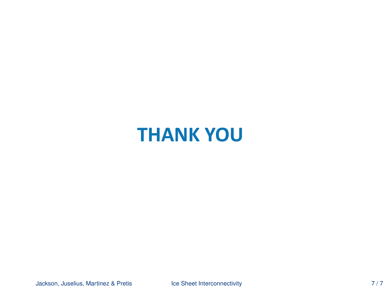# **THANK YOU**

Jackson, Juselius, Martinez & Pretis [Ice Sheet Interconnectivity](#page-0-0) **Ice Sheet Interconnectivity** 7/7